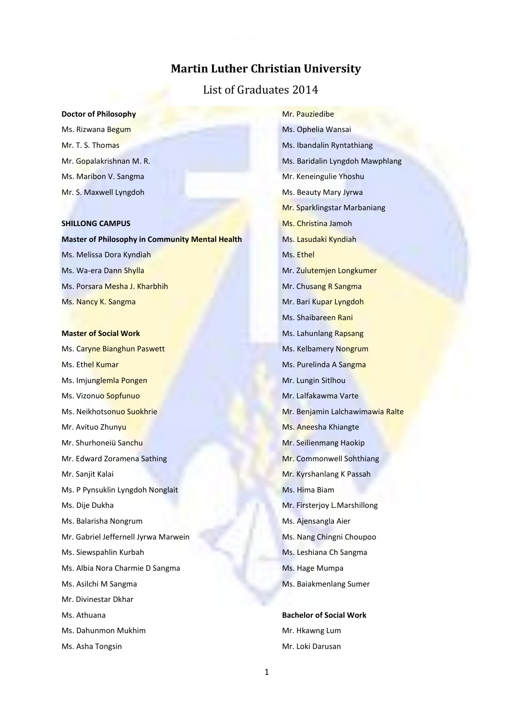### **Martin Luther Christian University**

### List of Graduates 2014

#### **Doctor of Philosophy**

Ms. Rizwana Begum Mr. T. S. Thomas Mr. Gopalakrishnan M. R. Ms. Maribon V. Sangma Mr. S. Maxwell Lyngdoh

#### **SHILLONG CAMPUS**

**Master of Philosophy in Community Mental Health** Ms. Melissa Dora Kyndiah Ms. Wa-era Dann Shylla Ms. Porsara Mesha J. Kharbhih Ms. Nancy K. Sangma

#### **Master of Social Work**

Ms. Caryne Bianghun Paswett Ms. Ethel Kumar Ms. Imjunglemla Pongen Ms. Vizonuo Sopfunuo Ms. Neikhotsonuo Suokhrie Mr. Avituo Zhunyu Mr. Shurhoneiü Sanchu Mr. Edward Zoramena Sathing Mr. Sanjit Kalai Ms. P Pynsuklin Lyngdoh Nonglait Ms. Dije Dukha Ms. Balarisha Nongrum Mr. Gabriel Jeffernell Jyrwa Marwein Ms. Siewspahlin Kurbah Ms. Albia Nora Charmie D Sangma Ms. Asilchi M Sangma Mr. Divinestar Dkhar Ms. Athuana Ms. Dahunmon Mukhim Ms. Asha Tongsin

Mr. Pauziedibe Ms. Ophelia Wansai Ms. Ibandalin Ryntathiang Ms. Baridalin Lyngdoh Mawphlang Mr. Keneingulie Yhoshu Ms. Beauty Mary Jyrwa Mr. Sparklingstar Marbaniang Ms. Christina Jamoh Ms. Lasudaki Kyndiah Ms. Ethel Mr. Zulutemjen Longkumer Mr. Chusang R Sangma Mr. Bari Kupar Lyngdoh Ms. Shaibareen Rani Ms. Lahunlang Rapsang Ms. Kelbamery Nongrum Ms. Purelinda A Sangma Mr. Lungin Sitlhou Mr. Lalfakawma Varte Mr. Benjamin Lalchawimawia Ralte Ms. Aneesha Khiangte Mr. Seilienmang Haokip Mr. Commonwell Sohthiang Mr. Kyrshanlang K Passah Ms. Hima Biam Mr. Firsterjoy L.Marshillong Ms. Ajensangla Aier Ms. Nang Chingni Choupoo Ms. Leshiana Ch Sangma Ms. Hage Mumpa Ms. Baiakmenlang Sumer

**Bachelor of Social Work** Mr. Hkawng Lum Mr. Loki Darusan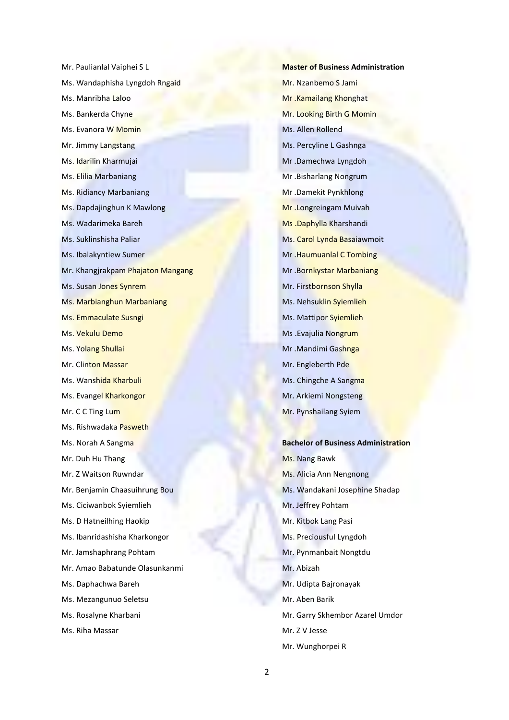Mr. Paulianlal Vaiphei S L Ms. Wandaphisha Lyngdoh Rngaid Ms. Manribha Laloo Ms. Bankerda Chyne Ms. Evanora W Momin Mr. Jimmy Langstang Ms. Idarilin Kharmujai Ms. Elilia Marbaniang Ms. Ridiancy Marbaniang Ms. Dapdajinghun K Mawlong Ms. Wadarimeka Bareh Ms. Suklinshisha Paliar Ms. Ibalakyntiew Sumer Mr. Khangjrakpam Phajaton Mangang Ms. Susan Jones Synrem Ms. Marbianghun Marbaniang Ms. Emmaculate Susngi Ms. Vekulu Demo Ms. Yolang Shullai Mr. Clinton Massar Ms. Wanshida Kharbuli Ms. Evangel Kharkongor Mr. C C Ting Lum Ms. Rishwadaka Pasweth Ms. Norah A Sangma Mr. Duh Hu Thang Mr. Z Waitson Ruwndar Mr. Benjamin Chaasuihrung Bou Ms. Ciciwanbok Syiemlieh Ms. D Hatneilhing Haokip Ms. Ibanridashisha Kharkongor Mr. Jamshaphrang Pohtam Mr. Amao Babatunde Olasunkanmi Ms. Daphachwa Bareh Ms. Mezangunuo Seletsu Ms. Rosalyne Kharbani Ms. Riha Massar

**Master of Business Administration** Mr. Nzanbemo S Jami Mr .Kamailang Khonghat Mr. Looking Birth G Momin Ms. Allen Rollend Ms. Percyline L Gashnga Mr .Damechwa Lyngdoh Mr .Bisharlang Nongrum Mr .Damekit Pynkhlong Mr .Longreingam Muivah Ms .Daphylla Kharshandi Ms. Carol Lynda Basaiawmoit Mr .Haumuanlal C Tombing Mr .Bornkystar Marbaniang Mr. Firstbornson Shylla Ms. Nehsuklin Syiemlieh Ms. Mattipor Syiemlieh Ms .Evajulia Nongrum Mr .Mandimi Gashnga Mr. Engleberth Pde Ms. Chingche A Sangma Mr. Arkiemi Nongsteng Mr. Pynshailang Syiem **Bachelor of Business Administration**

Ms. Nang Bawk Ms. Alicia Ann Nengnong Ms. Wandakani Josephine Shadap Mr. Jeffrey Pohtam Mr. Kitbok Lang Pasi Ms. Preciousful Lyngdoh Mr. Pynmanbait Nongtdu Mr. Abizah Mr. Udipta Bajronayak Mr. Aben Barik Mr. Garry Skhembor Azarel Umdor Mr. Z V Jesse Mr. Wunghorpei R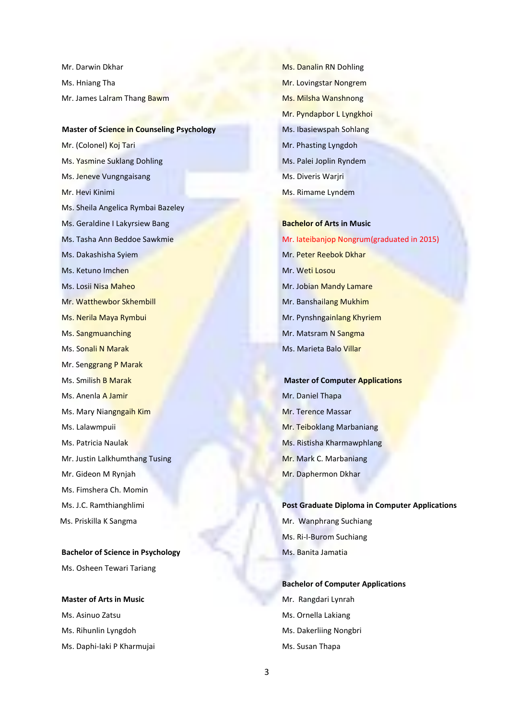Mr. Darwin Dkhar Ms. Hniang Tha Mr. James Lalram Thang Bawm

#### **Master of Science in Counseling Psychology**

Mr. (Colonel) Koj Tari Ms. Yasmine Suklang Dohling Ms. Jeneve Vungngaisang Mr. Hevi Kinimi Ms. Sheila Angelica Rymbai Bazeley Ms. Geraldine I Lakyrsiew Bang Ms. Tasha Ann Beddoe Sawkmie Ms. Dakashisha Syiem Ms. Ketuno Imchen Ms. Losii Nisa Maheo Mr. Watthewbor Skhembill Ms. Nerila Maya Rymbui Ms. Sangmuanching Ms. Sonali N Marak Mr. Senggrang P Marak Ms. Smilish B Marak Ms. Anenla A Jamir Ms. Mary Niangngaih Kim Ms. Lalawmpuii Ms. Patricia Naulak Mr. Justin Lalkhumthang Tusing Mr. Gideon M Rynjah Ms. Fimshera Ch. Momin Ms. J.C. Ramthianghlimi Ms. Priskilla K Sangma

**Bachelor of Science in Psychology** Ms. Osheen Tewari Tariang

**Master of Arts in Music** Ms. Asinuo Zatsu Ms. Rihunlin Lyngdoh Ms. Daphi-Iaki P Kharmujai Ms. Danalin RN Dohling Mr. Lovingstar Nongrem Ms. Milsha Wanshnong Mr. Pyndapbor L Lyngkhoi Ms. Ibasiewspah Sohlang Mr. Phasting Lyngdoh Ms. Palei Joplin Ryndem Ms. Diveris Warjri Ms. Rimame Lyndem

# **Bachelor of Arts in Music** Mr. Iateibanjop Nongrum(graduated in 2015) Mr. Peter Reebok Dkhar Mr. Weti Losou Mr. Jobian Mandy Lamare Mr. Banshailang Mukhim Mr. Pynshngainlang Khyriem Mr. Matsram N Sangma Ms. Marieta Balo Villar

**Master of Computer Applications** Mr. Daniel Thapa Mr. Terence Massar Mr. Teiboklang Marbaniang Ms. Ristisha Kharmawphlang Mr. Mark C. Marbaniang Mr. Daphermon Dkhar

**Post Graduate Diploma in Computer Applications** Mr. Wanphrang Suchiang Ms. Ri-I-Burom Suchiang Ms. Banita Jamatia

**Bachelor of Computer Applications** Mr. Rangdari Lynrah Ms. Ornella Lakiang Ms. Dakerliing Nongbri Ms. Susan Thapa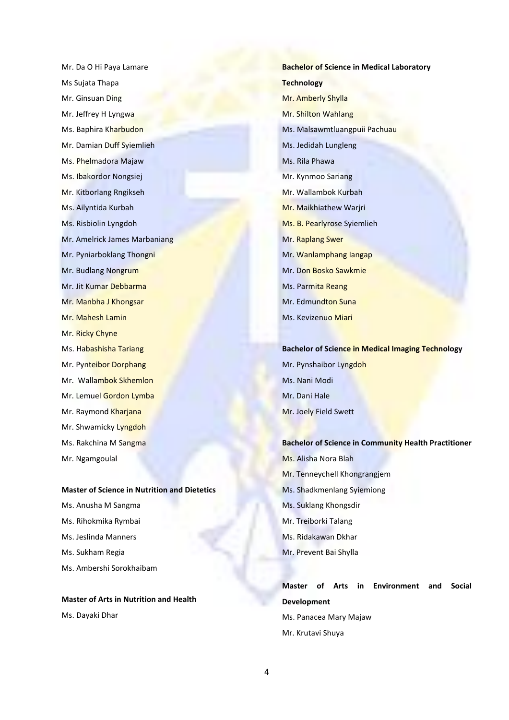Mr. Da O Hi Paya Lamare Ms Sujata Thapa Mr. Ginsuan Ding Mr. Jeffrey H Lyngwa Ms. Baphira Kharbudon Mr. Damian Duff Syiemlieh Ms. Phelmadora Majaw Ms. Ibakordor Nongsiej Mr. Kitborlang Rngikseh Ms. Ailyntida Kurbah Ms. Risbiolin Lyngdoh Mr. Amelrick James Marbaniang Mr. Pyniarboklang Thongni Mr. Budlang Nongrum Mr. Jit Kumar Debbarma Mr. Manbha J Khongsar Mr. Mahesh Lamin Mr. Ricky Chyne Ms. Habashisha Tariang Mr. Pynteibor Dorphang Mr. Wallambok Skhemlon Mr. Lemuel Gordon Lymba Mr. Raymond Kharjana Mr. Shwamicky Lyngdoh Ms. Rakchina M Sangma Mr. Ngamgoulal

#### **Master of Science in Nutrition and Dietetics**

Ms. Anusha M Sangma Ms. Rihokmika Rymbai Ms. Jeslinda Manners Ms. Sukham Regia Ms. Ambershi Sorokhaibam

### **Master of Arts in Nutrition and Health**

Ms. Dayaki Dhar

**Bachelor of Science in Medical Laboratory Technology** Mr. Amberly Shylla Mr. Shilton Wahlang Ms. Malsawmtluangpuii Pachuau Ms. Jedidah Lungleng Ms. Rila Phawa Mr. Kynmoo Sariang Mr. Wallambok Kurbah Mr. Maikhiathew Warjri Ms. B. Pearlyrose Syiemlieh Mr. Raplang Swer Mr. Wanlamphang Iangap Mr. Don Bosko Sawkmie Ms. Parmita Reang Mr. Edmundton Suna Ms. Kevizenuo Miari

#### **Bachelor of Science in Medical Imaging Technology**

Mr. Pynshaibor Lyngdoh Ms. Nani Modi Mr. Dani Hale Mr. Joely Field Swett

**Bachelor of Science in Community Health Practitioner** Ms. Alisha Nora Blah Mr. Tenneychell Khongrangjem Ms. Shadkmenlang Syiemiong Ms. Suklang Khongsdir Mr. Treiborki Talang Ms. Ridakawan Dkhar Mr. Prevent Bai Shylla

### **Master of Arts in Environment and Social Development** Ms. Panacea Mary Majaw Mr. Krutavi Shuya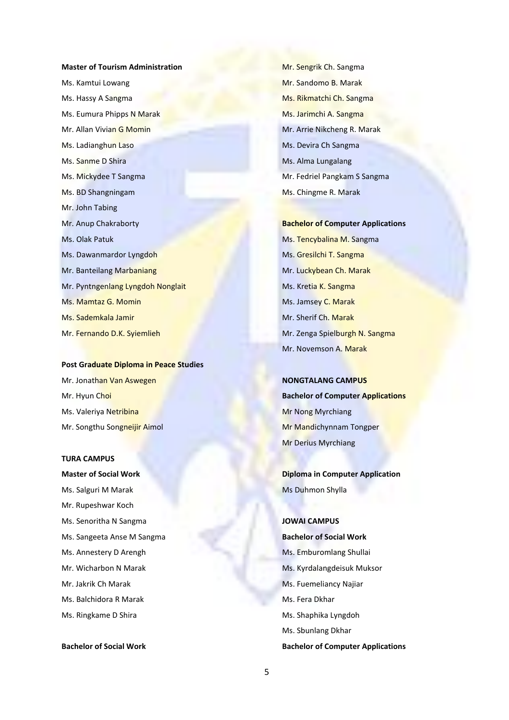# **Master of Tourism Administration** Ms. Kamtui Lowang Ms. Hassy A Sangma Ms. Eumura Phipps N Marak Mr. Allan Vivian G Momin Ms. Ladianghun Laso Ms. Sanme D Shira Ms. Mickydee T Sangma Ms. BD Shangningam Mr. John Tabing Mr. Anup Chakraborty Ms. Olak Patuk Ms. Dawanmardor Lyngdoh Mr. Banteilang Marbaniang Mr. Pyntngenlang Lyngdoh Nonglait Ms. Mamtaz G. Momin Ms. Sademkala Jamir Mr. Fernando D.K. Syiemlieh

**Post Graduate Diploma in Peace Studies** Mr. Jonathan Van Aswegen Mr. Hyun Choi Ms. Valeriya Netribina Mr. Songthu Songneijir Aimol

#### **TURA CAMPUS**

**Master of Social Work** Ms. Salguri M Marak Mr. Rupeshwar Koch Ms. Senoritha N Sangma Ms. Sangeeta Anse M Sangma Ms. Annestery D Arengh Mr. Wicharbon N Marak Mr. Jakrik Ch Marak Ms. Balchidora R Marak Ms. Ringkame D Shira

**Bachelor of Social Work**

Mr. Sengrik Ch. Sangma Mr. Sandomo B. Marak Ms. Rikmatchi Ch. Sangma Ms. Jarimchi A. Sangma Mr. Arrie Nikcheng R. Marak Ms. Devira Ch Sangma Ms. Alma Lungalang Mr. Fedriel Pangkam S Sangma Ms. Chingme R. Marak

**Bachelor of Computer Applications** Ms. Tencybalina M. Sangma Ms. Gresilchi T. Sangma Mr. Luckybean Ch. Marak Ms. Kretia K. Sangma Ms. Jamsey C. Marak Mr. Sherif Ch. Marak Mr. Zenga Spielburgh N. Sangma Mr. Novemson A. Marak

**NONGTALANG CAMPUS Bachelor of Computer Applications** Mr Nong Myrchiang Mr Mandichynnam Tongper Mr Derius Myrchiang

**Diploma in Computer Application** Ms Duhmon Shylla

### **JOWAI CAMPUS**

**Bachelor of Social Work** Ms. Emburomlang Shullai Ms. Kyrdalangdeisuk Muksor Ms. Fuemeliancy Najiar Ms. Fera Dkhar Ms. Shaphika Lyngdoh Ms. Sbunlang Dkhar **Bachelor of Computer Applications**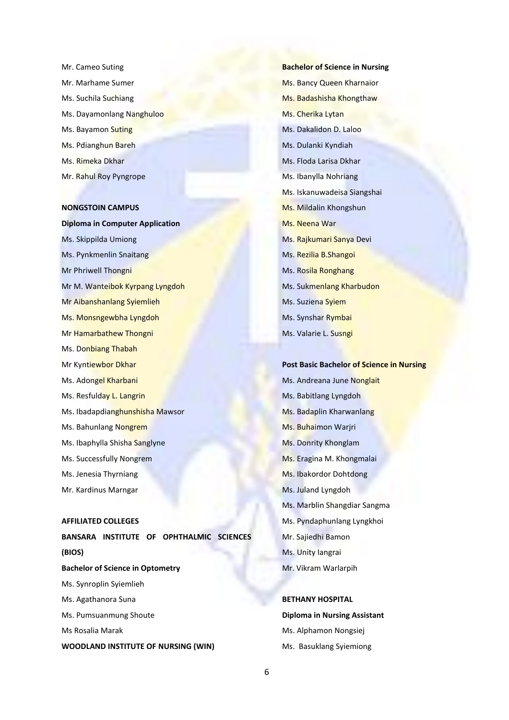Mr. Cameo Suting Mr. Marhame Sumer Ms. Suchila Suchiang Ms. Dayamonlang Nanghuloo Ms. Bayamon Suting Ms. Pdianghun Bareh Ms. Rimeka Dkhar Mr. Rahul Roy Pyngrope

#### **NONGSTOIN CAMPUS**

**Diploma in Computer Application** Ms. Skippilda Umiong Ms. Pynkmenlin Snaitang Mr Phriwell Thongni Mr M. Wanteibok Kyrpang Lyngdoh Mr Aibanshanlang Syiemlieh Ms. Monsngewbha Lyngdoh Mr Hamarbathew Thongni Ms. Donbiang Thabah Mr Kyntiewbor Dkhar Ms. Adongel Kharbani Ms. Resfulday L. Langrin Ms. Ibadapdianghunshisha Mawsor Ms. Bahunlang Nongrem Ms. Ibaphylla Shisha Sanglyne Ms. Successfully Nongrem Ms. Jenesia Thyrniang Mr. Kardinus Marngar

#### **AFFILIATED COLLEGES**

**BANSARA INSTITUTE OF OPHTHALMIC SCIENCES (BIOS) Bachelor of Science in Optometry** Ms. Synroplin Syiemlieh Ms. Agathanora Suna Ms. Pumsuanmung Shoute Ms Rosalia Marak **WOODLAND INSTITUTE OF NURSING (WIN)**

**Bachelor of Science in Nursing** Ms. Bancy Queen Kharnaior Ms. Badashisha Khongthaw Ms. Cherika Lytan Ms. Dakalidon D. Laloo Ms. Dulanki Kyndiah Ms. Floda Larisa Dkhar Ms. Ibanylla Nohriang Ms. Iskanuwadeisa Siangshai Ms. Mildalin Khongshun Ms. Neena War Ms. Rajkumari Sanya Devi Ms. Rezilia B.Shangoi Ms. Rosila Ronghang Ms. Sukmenlang Kharbudon Ms. Suziena Syiem Ms. Synshar Rymbai Ms. Valarie L. Susngi

**Post Basic Bachelor of Science in Nursing** Ms. Andreana June Nonglait Ms. Babitlang Lyngdoh Ms. Badaplin Kharwanlang Ms. Buhaimon Warjri Ms. Donrity Khonglam Ms. Eragina M. Khongmalai Ms. Ibakordor Dohtdong Ms. Juland Lyngdoh Ms. Marblin Shangdiar Sangma Ms. Pyndaphunlang Lyngkhoi Mr. Sajiedhi Bamon Ms. Unity Iangrai Mr. Vikram Warlarpih

**BETHANY HOSPITAL Diploma in Nursing Assistant** Ms. Alphamon Nongsiej Ms. Basuklang Syiemiong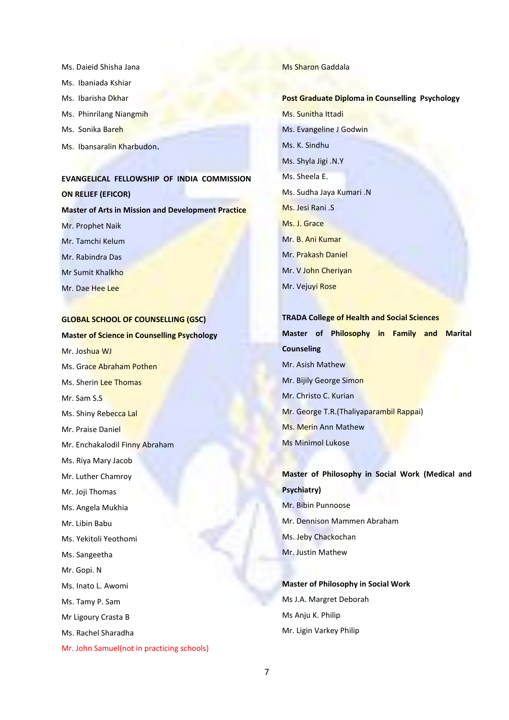- Ms. Daieid Shisha Jana
- Ms. Ibaniada Kshiar
- Ms. Ibarisha Dkhar
- Ms. Phinrilang Niangmih
- Ms. Sonika Bareh
- Ms. Ibansaralin Kharbudon.

# **EVANGELICAL FELLOWSHIP OF INDIA COMMISSION ON RELIEF (EFICOR) Master of Arts in Mission and Development Practice** Mr. Prophet Naik Mr. Tamchi Kelum Mr. Rabindra Das Mr Sumit Khalkho

Mr. Dae Hee Lee

#### **GLOBAL SCHOOL OF COUNSELLING (GSC)**

**Master of Science in Counselling Psychology** Mr. Joshua WJ Ms. Grace Abraham Pothen Ms. Sherin Lee Thomas Mr. Sam S.S Ms. Shiny Rebecca Lal Mr. Praise Daniel Mr. Enchakalodil Finny Abraham Ms. Riya Mary Jacob Mr. Luther Chamroy Mr. Joji Thomas Ms. Angela Mukhia Mr. Libin Babu Ms. Yekitoli Yeothomi Ms. Sangeetha Mr. Gopi. N Ms. Inato L. Awomi Ms. Tamy P. Sam Mr Ligoury Crasta B Ms. Rachel Sharadha Mr. John Samuel(not in practicing schools)

#### Ms Sharon Gaddala

# **Post Graduate Diploma in Counselling Psychology** Ms. Sunitha Ittadi Ms. Evangeline J Godwin Ms. K. Sindhu Ms. Shyla Jigi .N.Y Ms. Sheela E. Ms. Sudha Jaya Kumari .N Ms. Jesi Rani .S Ms. J. Grace Mr. B. Ani Kumar Mr. Prakash Daniel Mr. V John Cheriyan Mr. Vejuyi Rose

# **TRADA College of Health and Social Sciences Master of Philosophy in Family and Marital Counseling** Mr. Asish Mathew Mr. Bijily George Simon Mr. Christo C. Kurian Mr. George T.R.(Thaliyaparambil Rappai) Ms. Merin Ann Mathew Ms Minimol Lukose

### **Master of Philosophy in Social Work (Medical and Psychiatry)** Mr. Bibin Punnoose Mr. Dennison Mammen Abraham Ms. Jeby Chackochan

Mr. Justin Mathew

### **Master of Philosophy in Social Work** Ms J.A. Margret Deborah Ms Anju K. Philip Mr. Ligin Varkey Philip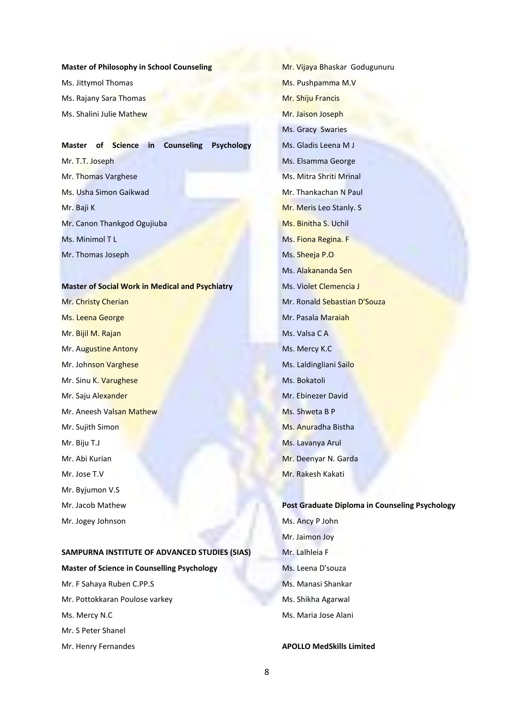#### **Master of Philosophy in School Counseling**

Ms. Jittymol Thomas Ms. Rajany Sara Thomas Ms. Shalini Julie Mathew

### **Master of Science in Counseling Psychology** Mr. T.T. Joseph Mr. Thomas Varghese Ms. Usha Simon Gaikwad Mr. Baji K Mr. Canon Thankgod Ogujiuba Ms. Minimol T L Mr. Thomas Joseph

**Master of Social Work in Medical and Psychiatry** Mr. Christy Cherian Ms. Leena George Mr. Bijil M. Rajan Mr. Augustine Antony Mr. Johnson Varghese Mr. Sinu K. Varughese Mr. Saju Alexander Mr. Aneesh Valsan Mathew Mr. Sujith Simon Mr. Biju T.J Mr. Abi Kurian Mr. Jose T.V Mr. Byjumon V.S Mr. Jacob Mathew Mr. Jogey Johnson

### **SAMPURNA INSTITUTE OF ADVANCED STUDIES (SIAS)**

# **Master of Science in Counselling Psychology** Mr. F Sahaya Ruben C.PP.S Mr. Pottokkaran Poulose varkey Ms. Mercy N.C

Mr. S Peter Shanel

Mr. Henry Fernandes

Mr. Vijaya Bhaskar Godugunuru Ms. Pushpamma M.V Mr. Shiju Francis Mr. Jaison Joseph Ms. Gracy Swaries Ms. Gladis Leena M J Ms. Elsamma George Ms. Mitra Shriti Mrinal Mr. Thankachan N Paul Mr. Meris Leo Stanly. S Ms. Binitha S. Uchil Ms. Fiona Regina. F Ms. Sheeja P.O Ms. Alakananda Sen Ms. Violet Clemencia J Mr. Ronald Sebastian D'Souza Mr. Pasala Maraiah Ms. Valsa C A Ms. Mercy K.C Ms. Laldingliani Sailo Ms. Bokatoli Mr. Ebinezer David Ms. Shweta B P Ms. Anuradha Bistha Ms. Lavanya Arul Mr. Deenyar N. Garda Mr. Rakesh Kakati

### **Post Graduate Diploma in Counseling Psychology** Ms. Ancy P John Mr. Jaimon Joy Mr. Lalhleia F Ms. Leena D'souza Ms. Manasi Shankar Ms. Shikha Agarwal

**APOLLO MedSkills Limited**

Ms. Maria Jose Alani